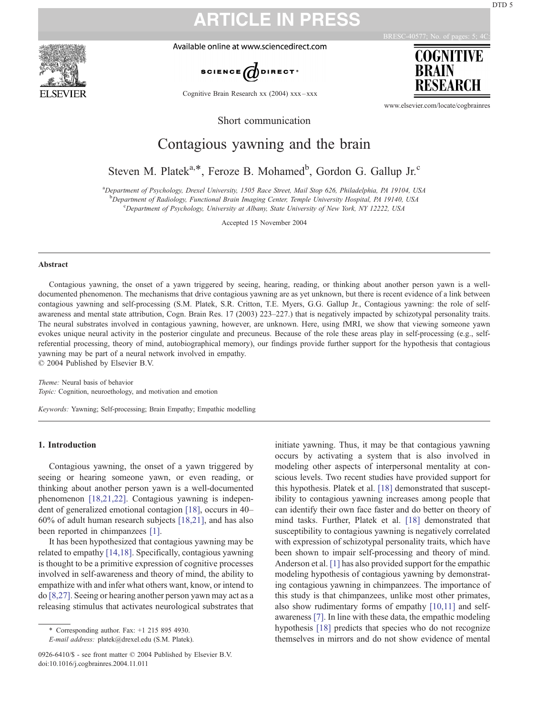Available online at www.sciencedirect.com

**ARTICLE IN PRESS**



Cognitive Brain Research xx (2004) xxx – xxx

BRESC-4

**BRAIN** 

COGNITIVE

www.elsevier.com/locate/cogbrainres

Short communication

## Contagious yawning and the brain

Steven M. Platek<sup>a,\*</sup>, Feroze B. Mohamed<sup>b</sup>, Gordon G. Gallup Jr.<sup>c</sup>

a Department of Psychology, Drexel University, 1505 Race Street, Mail Stop 626, Philadelphia, PA 19104, USA b<br>
Department of Radiology, Functional Brain Imaging Center, Temple University Hospital, PA 19140, USA<br>
Congriment of Psychology University at Albany State University of New York NV 12222, USA

Department of Psychology, University at Albany, State University of New York, NY 12222, USA

Accepted 15 November 2004

#### Abstract

Contagious yawning, the onset of a yawn triggered by seeing, hearing, reading, or thinking about another person yawn is a welldocumented phenomenon. The mechanisms that drive contagious yawning are as yet unknown, but there is recent evidence of a link between contagious yawning and self-processing (S.M. Platek, S.R. Critton, T.E. Myers, G.G. Gallup Jr., Contagious yawning: the role of selfawareness and mental state attribution, Cogn. Brain Res. 17 (2003) 223–227.) that is negatively impacted by schizotypal personality traits. The neural substrates involved in contagious yawning, however, are unknown. Here, using fMRI, we show that viewing someone yawn evokes unique neural activity in the posterior cingulate and precuneus. Because of the role these areas play in self-processing (e.g., selfreferential processing, theory of mind, autobiographical memory), our findings provide further support for the hypothesis that contagious yawning may be part of a neural network involved in empathy.  $© 2004$  Published by Elsevier B.V.

Theme: Neural basis of behavior

Topic: Cognition, neuroethology, and motivation and emotion

Keywords: Yawning; Self-processing; Brain Empathy; Empathic modelling

### 1. Introduction

Contagious yawning, the onset of a yawn triggered by seeing or hearing someone yawn, or even reading, or thinking about another person yawn is a well-documented phenomenon [\[18,21,22\].](#page-3-0) Contagious yawning is independent of generalized emotional contagion [\[18\],](#page-3-0) occurs in 40– 60% of adult human research subjects [\[18,21\],](#page-3-0) and has also been reported in chimpanzees [\[1\].](#page-3-0)

It has been hypothesized that contagious yawning may be related to empathy [\[14,18\].](#page-3-0) Specifically, contagious yawning is thought to be a primitive expression of cognitive processes involved in self-awareness and theory of mind, the ability to empathize with and infer what others want, know, or intend to do [\[8,27\]](#page-3-0). Seeing or hearing another person yawn may act as a releasing stimulus that activates neurological substrates that

\* Corresponding author. Fax: +1 215 895 4930.

E-mail address: platek@drexel.edu (S.M. Platek).

0926-6410/\$ - see front matter © 2004 Published by Elsevier B.V. doi:10.1016/j.cogbrainres.2004.11.011

initiate yawning. Thus, it may be that contagious yawning occurs by activating a system that is also involved in modeling other aspects of interpersonal mentality at conscious levels. Two recent studies have provided support for this hypothesis. Platek et al. [\[18\]](#page-3-0) demonstrated that susceptibility to contagious yawning increases among people that can identify their own face faster and do better on theory of mind tasks. Further, Platek et al. [\[18\]](#page-3-0) demonstrated that susceptibility to contagious yawning is negatively correlated with expression of schizotypal personality traits, which have been shown to impair self-processing and theory of mind. Anderson et al. [\[1\]](#page-3-0) has also provided support for the empathic modeling hypothesis of contagious yawning by demonstrating contagious yawning in chimpanzees. The importance of this study is that chimpanzees, unlike most other primates, also show rudimentary forms of empathy [\[10,11\]](#page-3-0) and selfawareness [\[7\].](#page-3-0) In line with these data, the empathic modeling hypothesis [\[18\]](#page-3-0) predicts that species who do not recognize themselves in mirrors and do not show evidence of mental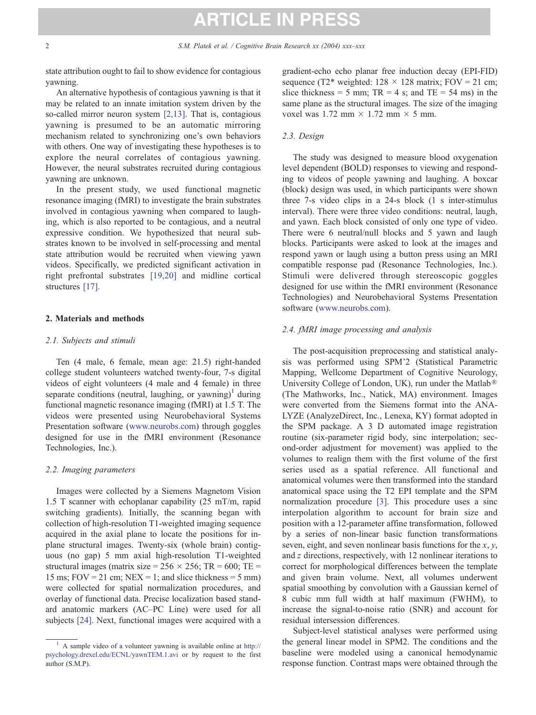# **ARTICLE IN PRESS**

state attribution ought to fail to show evidence for contagious yawning.

An alternative hypothesis of contagious yawning is that it may be related to an innate imitation system driven by the so-called mirror neuron system [\[2,13\].](#page-3-0) That is, contagious yawning is presumed to be an automatic mirroring mechanism related to synchronizing one's own behaviors with others. One way of investigating these hypotheses is to explore the neural correlates of contagious yawning. However, the neural substrates recruited during contagious yawning are unknown.

In the present study, we used functional magnetic resonance imaging (fMRI) to investigate the brain substrates involved in contagious yawning when compared to laughing, which is also reported to be contagious, and a neutral expressive condition. We hypothesized that neural substrates known to be involved in self-processing and mental state attribution would be recruited when viewing yawn videos. Specifically, we predicted significant activation in right prefrontal substrates [\[19,20\]](#page-3-0) and midline cortical structures [\[17\].](#page-3-0)

#### 2. Materials and methods

#### 2.1. Subjects and stimuli

Ten (4 male, 6 female, mean age: 21.5) right-handed college student volunteers watched twenty-four, 7-s digital videos of eight volunteers (4 male and 4 female) in three separate conditions (neutral, laughing, or yawning)<sup>1</sup> during functional magnetic resonance imaging (fMRI) at 1.5 T. The videos were presented using Neurobehavioral Systems Presentation software ([www.neurobs.com\)](http://www.neurobs.com) through goggles designed for use in the fMRI environment (Resonance Technologies, Inc.).

#### 2.2. Imaging parameters

Images were collected by a Siemens Magnetom Vision 1.5 T scanner with echoplanar capability (25 mT/m, rapid switching gradients). Initially, the scanning began with collection of high-resolution T1-weighted imaging sequence acquired in the axial plane to locate the positions for inplane structural images. Twenty-six (whole brain) contiguous (no gap) 5 mm axial high-resolution T1-weighted structural images (matrix size =  $256 \times 256$ ; TR = 600; TE = 15 ms;  $FOV = 21$  cm;  $NEX = 1$ ; and slice thickness = 5 mm) were collected for spatial normalization procedures, and overlay of functional data. Precise localization based standard anatomic markers (AC–PC Line) were used for all subjects [\[24\].](#page-4-0) Next, functional images were acquired with a gradient-echo echo planar free induction decay (EPI-FID) sequence (T2\* weighted:  $128 \times 128$  matrix; FOV = 21 cm; slice thickness = 5 mm;  $TR = 4$  s; and  $TE = 54$  ms) in the same plane as the structural images. The size of the imaging voxel was 1.72 mm  $\times$  1.72 mm  $\times$  5 mm.

### 2.3. Design

The study was designed to measure blood oxygenation level dependent (BOLD) responses to viewing and responding to videos of people yawning and laughing. A boxcar (block) design was used, in which participants were shown three 7-s video clips in a 24-s block (1 s inter-stimulus interval). There were three video conditions: neutral, laugh, and yawn. Each block consisted of only one type of video. There were 6 neutral/null blocks and 5 yawn and laugh blocks. Participants were asked to look at the images and respond yawn or laugh using a button press using an MRI compatible response pad (Resonance Technologies, Inc.). Stimuli were delivered through stereoscopic goggles designed for use within the fMRI environment (Resonance Technologies) and Neurobehavioral Systems Presentation software ([www.neurobs.com\)](http://www.neurobs.com).

### 2.4. fMRI image processing and analysis

The post-acquisition preprocessing and statistical analysis was performed using SPM'2 (Statistical Parametric Mapping, Wellcome Department of Cognitive Neurology, University College of London, UK), run under the Matlab<sup>®</sup> (The Mathworks, Inc., Natick, MA) environment. Images were converted from the Siemens format into the ANA-LYZE (AnalyzeDirect, Inc., Lenexa, KY) format adopted in the SPM package. A 3 D automated image registration routine (six-parameter rigid body, sinc interpolation; second-order adjustment for movement) was applied to the volumes to realign them with the first volume of the first series used as a spatial reference. All functional and anatomical volumes were then transformed into the standard anatomical space using the T2 EPI template and the SPM normalization procedure [\[3\].](#page-3-0) This procedure uses a sinc interpolation algorithm to account for brain size and position with a 12-parameter affine transformation, followed by a series of non-linear basic function transformations seven, eight, and seven nonlinear basis functions for the  $x, y$ , and z directions, respectively, with 12 nonlinear iterations to correct for morphological differences between the template and given brain volume. Next, all volumes underwent spatial smoothing by convolution with a Gaussian kernel of 8 cubic mm full width at half maximum (FWHM), to increase the signal-to-noise ratio (SNR) and account for residual intersession differences.

Subject-level statistical analyses were performed using the general linear model in SPM2. The conditions and the baseline were modeled using a canonical hemodynamic response function. Contrast maps were obtained through the

<sup>&</sup>lt;sup>1</sup> A sample video of a volunteer yawning is available online at [http://](http://www.psychology.drexel.edu) psychology.drexel.edu/ECNL/yawnTEM.1.avi or by request to the first author (S.M.P).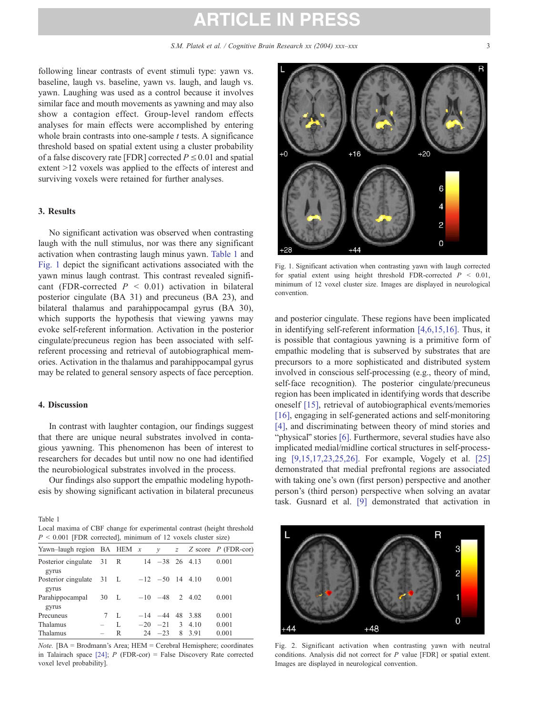# **ARTICLE IN PRESS**

<span id="page-2-0"></span>following linear contrasts of event stimuli type: yawn vs. baseline, laugh vs. baseline, yawn vs. laugh, and laugh vs. yawn. Laughing was used as a control because it involves similar face and mouth movements as yawning and may also show a contagion effect. Group-level random effects analyses for main effects were accomplished by entering whole brain contrasts into one-sample  $t$  tests. A significance threshold based on spatial extent using a cluster probability of a false discovery rate [FDR] corrected  $P \le 0.01$  and spatial extent  $>12$  voxels was applied to the effects of interest and surviving voxels were retained for further analyses.

#### 3. Results

No significant activation was observed when contrasting laugh with the null stimulus, nor was there any significant activation when contrasting laugh minus yawn. Table 1 and Fig. 1 depict the significant activations associated with the yawn minus laugh contrast. This contrast revealed significant (FDR-corrected  $P < 0.01$ ) activation in bilateral posterior cingulate (BA 31) and precuneus (BA 23), and bilateral thalamus and parahippocampal gyrus (BA 30), which supports the hypothesis that viewing yawns may evoke self-referent information. Activation in the posterior cingulate/precuneus region has been associated with selfreferent processing and retrieval of autobiographical memories. Activation in the thalamus and parahippocampal gyrus may be related to general sensory aspects of face perception.

#### 4. Discussion

In contrast with laughter contagion, our findings suggest that there are unique neural substrates involved in contagious yawning. This phenomenon has been of interest to researchers for decades but until now no one had identified the neurobiological substrates involved in the process.

Our findings also support the empathic modeling hypothesis by showing significant activation in bilateral precuneus

Table 1 Local maxima of CBF change for experimental contrast (height threshold  $P < 0.001$  [FDR corrected], minimum of 12 voxels cluster size)

| Yawn-laugh region BA HEM $x$ $y$ $z$ Z score P (FDR-cor)     |                 |              |                     |  |       |
|--------------------------------------------------------------|-----------------|--------------|---------------------|--|-------|
| Posterior cingulate $31 \text{ R}$ $14 -38$ 26 4.13<br>gyrus |                 |              |                     |  | 0.001 |
| Posterior cingulate 31 L<br>gyrus                            |                 |              | $-12$ $-50$ 14 4.10 |  | 0.001 |
| Parahippocampal 30 L<br>gyrus                                |                 |              | $-10$ $-48$ 2 4.02  |  | 0.001 |
| Precuneus                                                    | $7\overline{ }$ | L            | $-14$ $-44$ 48 3.88 |  | 0.001 |
| Thalamus                                                     | $ \,$           | $\mathbf{L}$ | $-20$ $-21$ 3 4.10  |  | 0.001 |
| Thalamus                                                     |                 | R            | $24 - 23$ 8 3.91    |  | 0.001 |

Note. [BA = Brodmann's Area; HEM = Cerebral Hemisphere; coordinates in Talairach space  $[24]$ ; P (FDR-cor) = False Discovery Rate corrected voxel level probability].



Fig. 1. Significant activation when contrasting yawn with laugh corrected for spatial extent using height threshold FDR-corrected  $P < 0.01$ , minimum of 12 voxel cluster size. Images are displayed in neurological convention.

and posterior cingulate. These regions have been implicated in identifying self-referent information [\[4,6,15,16\].](#page-3-0) Thus, it is possible that contagious yawning is a primitive form of empathic modeling that is subserved by substrates that are precursors to a more sophisticated and distributed system involved in conscious self-processing (e.g., theory of mind, self-face recognition). The posterior cingulate/precuneus region has been implicated in identifying words that describe oneself [\[15\],](#page-3-0) retrieval of autobiographical events/memories [\[16\],](#page-3-0) engaging in self-generated actions and self-monitoring [\[4\],](#page-3-0) and discriminating between theory of mind stories and "physical" stories [\[6\].](#page-3-0) Furthermore, several studies have also implicated medial/midline cortical structures in self-processing [\[9,15,17,23,25,26\].](#page-3-0) For example, Vogely et al. [\[25\]](#page-4-0) demonstrated that medial prefrontal regions are associated with taking one's own (first person) perspective and another person's (third person) perspective when solving an avatar task. Gusnard et al. [\[9\]](#page-3-0) demonstrated that activation in



Fig. 2. Significant activation when contrasting yawn with neutral conditions. Analysis did not correct for P value [FDR] or spatial extent. Images are displayed in neurological convention.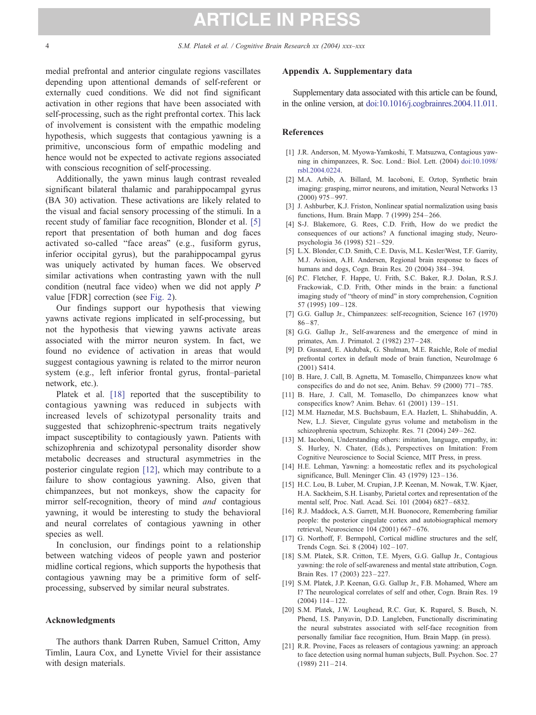<span id="page-3-0"></span>medial prefrontal and anterior cingulate regions vascillates depending upon attentional demands of self-referent or externally cued conditions. We did not find significant activation in other regions that have been associated with self-processing, such as the right prefrontal cortex. This lack of involvement is consistent with the empathic modeling hypothesis, which suggests that contagious yawning is a primitive, unconscious form of empathic modeling and hence would not be expected to activate regions associated with conscious recognition of self-processing.

Additionally, the yawn minus laugh contrast revealed significant bilateral thalamic and parahippocampal gyrus (BA 30) activation. These activations are likely related to the visual and facial sensory processing of the stimuli. In a recent study of familiar face recognition, Blonder et al. [5] report that presentation of both human and dog faces activated so-called "face areas" (e.g., fusiform gyrus, inferior occipital gyrus), but the parahippocampal gyrus was uniquely activated by human faces. We observed similar activations when contrasting yawn with the null condition (neutral face video) when we did not apply P value [FDR] correction (see [Fig. 2\)](#page-2-0).

Our findings support our hypothesis that viewing yawns activate regions implicated in self-processing, but not the hypothesis that viewing yawns activate areas associated with the mirror neuron system. In fact, we found no evidence of activation in areas that would suggest contagious yawning is related to the mirror neuron system (e.g., left inferior frontal gyrus, frontal–parietal network, etc.).

Platek et al. [18] reported that the susceptibility to contagious yawning was reduced in subjects with increased levels of schizotypal personality traits and suggested that schizophrenic-spectrum traits negatively impact susceptibility to contagiously yawn. Patients with schizophrenia and schizotypal personality disorder show metabolic decreases and structural asymmetries in the posterior cingulate region [12], which may contribute to a failure to show contagious yawning. Also, given that chimpanzees, but not monkeys, show the capacity for mirror self-recognition, theory of mind and contagious yawning, it would be interesting to study the behavioral and neural correlates of contagious yawning in other species as well.

In conclusion, our findings point to a relationship between watching videos of people yawn and posterior midline cortical regions, which supports the hypothesis that contagious yawning may be a primitive form of selfprocessing, subserved by similar neural substrates.

#### Acknowledgments

The authors thank Darren Ruben, Samuel Critton, Amy Timlin, Laura Cox, and Lynette Viviel for their assistance with design materials.

#### Appendix A. Supplementary data

Supplementary data associated with this article can be found, in the online version, at [doi:10.1016/j.cogbrainres.2004.11.011.](http://dx.doi.org/doi:10.1016/j.cogbrainres.2004.11.011)

#### References

- [1] J.R. Anderson, M. Myowa-Yamkoshi, T. Matsuzwa, Contagious yawning in chimpanzees, R. Soc. Lond.: Biol. Lett. (2004) [doi:10.1098/](http://dx.doi.org/doi:10.1098/rsbl.2004.0224) rsbl.2004.0224.
- [2] M.A. Arbib, A. Billard, M. Iacoboni, E. Oztop, Synthetic brain imaging: grasping, mirror neurons, and imitation, Neural Networks 13 (2000) 975 – 997.
- [3] J. Ashburber, K.J. Friston, Nonlinear spatial normalization using basis functions, Hum. Brain Mapp. 7 (1999) 254 – 266.
- [4] S-J. Blakemore, G. Rees, C.D. Frith, How do we predict the consequences of our actions? A functional imaging study, Neuropsychologia 36 (1998) 521 – 529.
- [5] L.X. Blonder, C.D. Smith, C.E. Davis, M.L. Kesler/West, T.F. Garrity, M.J. Avision, A.H. Andersen, Regional brain response to faces of humans and dogs, Cogn. Brain Res. 20 (2004) 384 – 394.
- [6] P.C. Fletcher, F. Happe, U. Frith, S.C. Baker, R.J. Dolan, R.S.J. Frackowiak, C.D. Frith, Other minds in the brain: a functional imaging study of "theory of mind" in story comprehension, Cognition 57 (1995) 109 – 128.
- [7] G.G. Gallup Jr., Chimpanzees: self-recognition, Science 167 (1970)  $86 - 87.$
- [8] G.G. Gallup Jr., Self-awareness and the emergence of mind in primates, Am. J. Primatol. 2 (1982) 237 – 248.
- [9] D. Gusnard, E. Akdubak, G. Shulman, M.E. Raichle, Role of medial prefrontal cortex in default mode of brain function, NeuroImage 6 (2001) S414.
- [10] B. Hare, J. Call, B. Agnetta, M. Tomasello, Chimpanzees know what conspecifics do and do not see, Anim. Behav. 59 (2000) 771-785.
- [11] B. Hare, J. Call, M. Tomasello, Do chimpanzees know what conspecifics know? Anim. Behav. 61 (2001) 139 – 151.
- [12] M.M. Haznedar, M.S. Buchsbaum, E.A. Hazlett, L. Shihabuddin, A. New, L.J. Siever, Cingulate gyrus volume and metabolism in the schizophrenia spectrum, Schizophr. Res. 71 (2004) 249 – 262.
- [13] M. Iacoboni, Understanding others: imitation, language, empathy, in: S. Hurley, N. Chater, (Eds.), Perspectives on Imitation: From Cognitive Neuroscience to Social Science, MIT Press, in press.
- [14] H.E. Lehman, Yawning: a homeostatic reflex and its psychological significance, Bull. Meninger Clin. 43 (1979) 123 – 136.
- [15] H.C. Lou, B. Luber, M. Crupian, J.P. Keenan, M. Nowak, T.W. Kjaer, H.A. Sackheim, S.H. Lisanby, Parietal cortex and representation of the mental self, Proc. Natl. Acad. Sci. 101 (2004) 6827 – 6832.
- [16] R.J. Maddock, A.S. Garrett, M.H. Buonocore, Remembering familiar people: the posterior cingulate cortex and autobiographical memory retrieval, Neuroscience 104 (2001) 667 – 676.
- [17] G. Northoff, F. Bermpohl, Cortical midline structures and the self, Trends Cogn. Sci. 8 (2004) 102 – 107.
- [18] S.M. Platek, S.R. Critton, T.E. Myers, G.G. Gallup Jr., Contagious yawning: the role of self-awareness and mental state attribution, Cogn. Brain Res. 17 (2003) 223 – 227.
- [19] S.M. Platek, J.P. Keenan, G.G. Gallup Jr., F.B. Mohamed, Where am I? The neurological correlates of self and other, Cogn. Brain Res. 19  $(2004)$  114 – 122.
- [20] S.M. Platek, J.W. Loughead, R.C. Gur, K. Ruparel, S. Busch, N. Phend, I.S. Panyavin, D.D. Langleben, Functionally discriminating the neural substrates associated with self-face recognition from personally familiar face recognition, Hum. Brain Mapp. (in press).
- [21] R.R. Provine, Faces as releasers of contagious yawning: an approach to face detection using normal human subjects, Bull. Psychon. Soc. 27  $(1989)$  211 – 214.